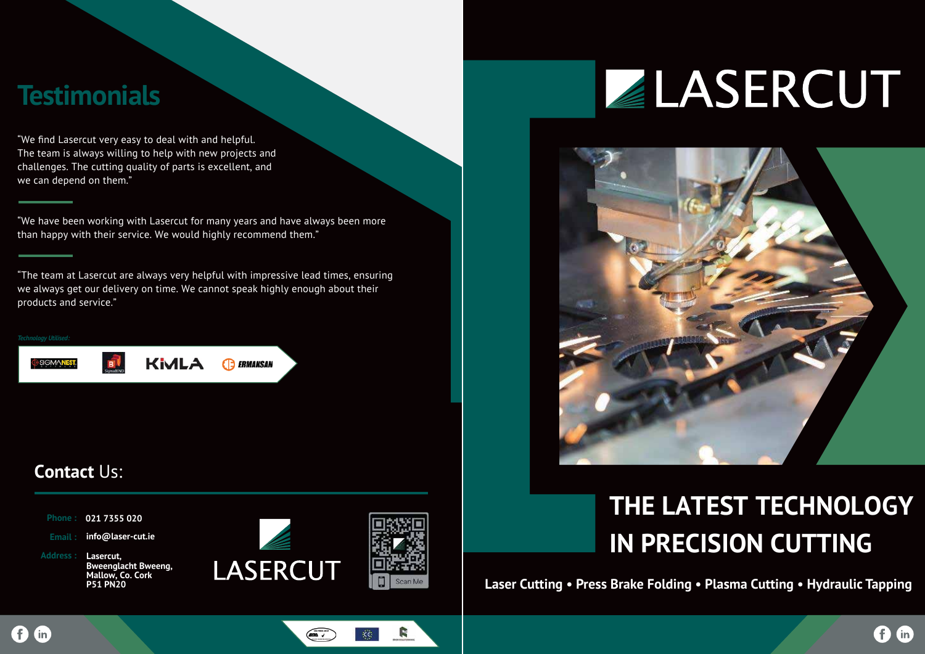## **THE LATEST TECHNOLOGY IN PRECISION CUTTING**

#### **Contact** Us:



R

χ€

 $\begin{pmatrix}\n\frac{1}{2} & \frac{1}{2} & \frac{1}{2} & \frac{1}{2} & \frac{1}{2} & \frac{1}{2} & \frac{1}{2} & \frac{1}{2} & \frac{1}{2} & \frac{1}{2} & \frac{1}{2} & \frac{1}{2} & \frac{1}{2} & \frac{1}{2} & \frac{1}{2} & \frac{1}{2} & \frac{1}{2} & \frac{1}{2} & \frac{1}{2} & \frac{1}{2} & \frac{1}{2} & \frac{1}{2} & \frac{1}{2} & \frac{1}{2} & \frac{1}{2} & \frac{1}{2} & \frac{1}{$ 





*Technology Utilised:*

6

 $\mathsf{fin}$ 



**KiMLA B** ERMAKSAN

**Laser Cutting • Press Brake Folding • Plasma Cutting • Hydraulic Tapping**

# ZLASERCUT



#### **Testimonials**

"We find Lasercut very easy to deal with and helpful. The team is always willing to help with new projects and challenges. The cutting quality of parts is excellent, and we can depend on them."

"We have been working with Lasercut for many years and have always been more than happy with their service. We would highly recommend them."

"The team at Lasercut are always very helpful with impressive lead times, ensuring we always get our delivery on time. We cannot speak highly enough about their products and service."